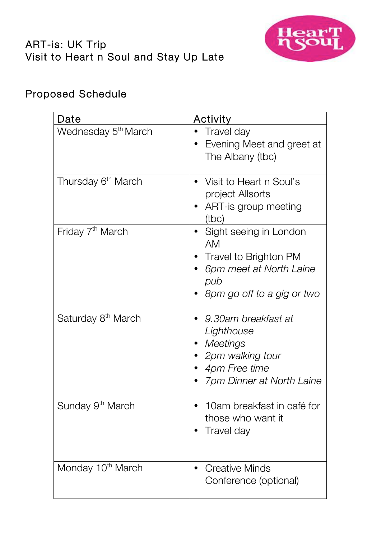

## Proposed Schedule

| Date                            | Activity                                                                                                                |
|---------------------------------|-------------------------------------------------------------------------------------------------------------------------|
| Wednesday 5 <sup>th</sup> March | Travel day<br>Evening Meet and greet at<br>The Albany (tbc)                                                             |
| Thursday 6 <sup>th</sup> March  | Visit to Heart n Soul's<br>project Allsorts<br>ART-is group meeting<br>(tbc)                                            |
| Friday 7 <sup>th</sup> March    | • Sight seeing in London<br>AM<br>Travel to Brighton PM<br>6pm meet at North Laine<br>pub<br>8pm go off to a gig or two |
| Saturday 8 <sup>th</sup> March  | 9.30am breakfast at<br>Lighthouse<br>Meetings<br>2pm walking tour<br>4pm Free time<br><b>7pm Dinner at North Laine</b>  |
| Sunday 9 <sup>th</sup> March    | 10am breakfast in café for<br>those who want it<br>Travel day                                                           |
| Monday 10 <sup>th</sup> March   | Creative Minds<br>Conference (optional)                                                                                 |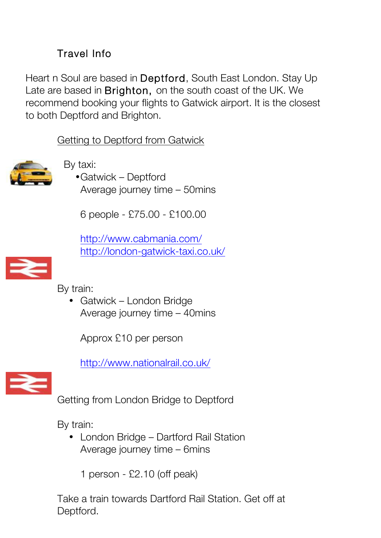# Travel Info

Heart n Soul are based in Deptford, South East London. Stay Up Late are based in Brighton, on the south coast of the UK. We recommend booking your flights to Gatwick airport. It is the closest to both Deptford and Brighton.

Getting to Deptford from Gatwick



By taxi: •Gatwick – Deptford Average journey time – 50mins

6 people - £75.00 - £100.00

http://www.cabmania.com/ http://london-gatwick-taxi.co.uk/



By train:

• Gatwick – London Bridge Average journey time – 40mins

Approx £10 per person

http://www.nationalrail.co.uk/



Getting from London Bridge to Deptford

By train:

• London Bridge – Dartford Rail Station Average journey time – 6mins

1 person - £2.10 (off peak)

Take a train towards Dartford Rail Station. Get off at Deptford.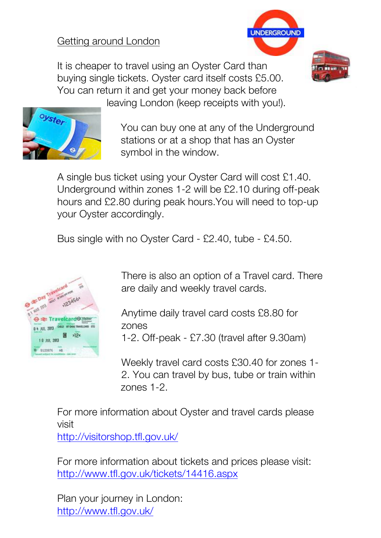#### Getting around London

It is cheaper to travel using an Oyster Card than buying single tickets. Oyster card itself costs £5.00. You can return it and get your money back before leaving London (keep receipts with you!).



**UNDERGROUND** 



You can buy one at any of the Underground stations or at a shop that has an Oyster symbol in the window.

A single bus ticket using your Oyster Card will cost £1.40. Underground within zones 1-2 will be £2.10 during off-peak hours and £2.80 during peak hours.You will need to top-up your Oyster accordingly.

Bus single with no Oyster Card - £2.40, tube - £4.50.



There is also an option of a Travel card. There are daily and weekly travel cards.

Anytime daily travel card costs £8.80 for zones 1-2. Off-peak - £7.30 (travel after 9.30am)

Weekly travel card costs £30.40 for zones 1- 2. You can travel by bus, tube or train within zones 1-2.

For more information about Oyster and travel cards please visit

http://visitorshop.tfl.gov.uk/

For more information about tickets and prices please visit: http://www.tfl.gov.uk/tickets/14416.aspx

Plan your journey in London: http://www.tfl.gov.uk/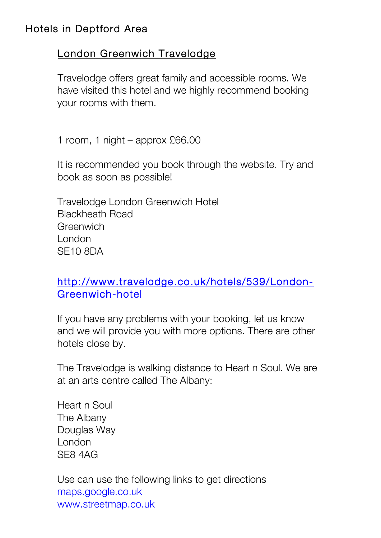## Hotels in Deptford Area

## London Greenwich Travelodge

Travelodge offers great family and accessible rooms. We have visited this hotel and we highly recommend booking your rooms with them.

1 room, 1 night – approx £66.00

It is recommended you book through the website. Try and book as soon as possible!

Travelodge London Greenwich Hotel Blackheath Road **Greenwich** London SE10 8DA

#### http://www.travelodge.co.uk/hotels/539/London-Greenwich-hotel

If you have any problems with your booking, let us know and we will provide you with more options. There are other hotels close by.

The Travelodge is walking distance to Heart n Soul. We are at an arts centre called The Albany:

Heart n Soul The Albany Douglas Way London SE8 4AG

Use can use the following links to get directions maps.google.co.uk www.streetmap.co.uk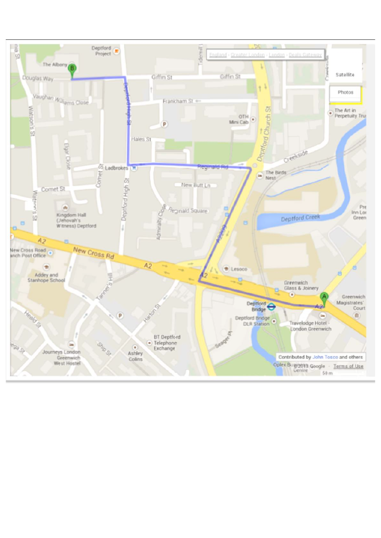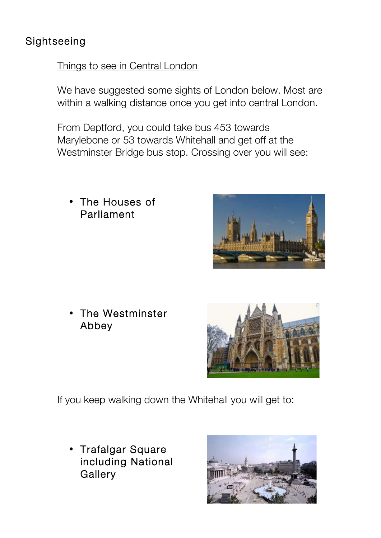# Sightseeing

#### Things to see in Central London

We have suggested some sights of London below. Most are within a walking distance once you get into central London.

From Deptford, you could take bus 453 towards Marylebone or 53 towards Whitehall and get off at the Westminster Bridge bus stop. Crossing over you will see:

The Houses of Parliament



• The Westminster Abbey



If you keep walking down the Whitehall you will get to:

• Trafalgar Square including National **Gallery** 

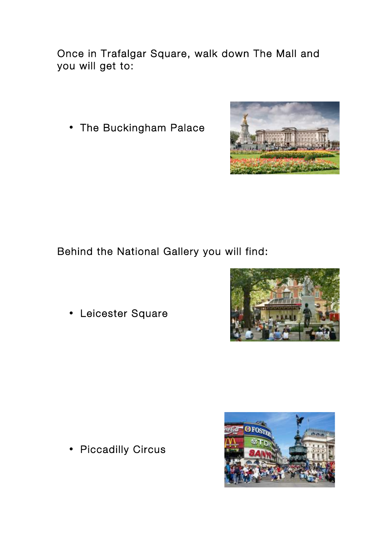Once in Trafalgar Square, walk down The Mall and you will get to:

• The Buckingham Palace



Behind the National Gallery you will find:

• Leicester Square



• Piccadilly Circus

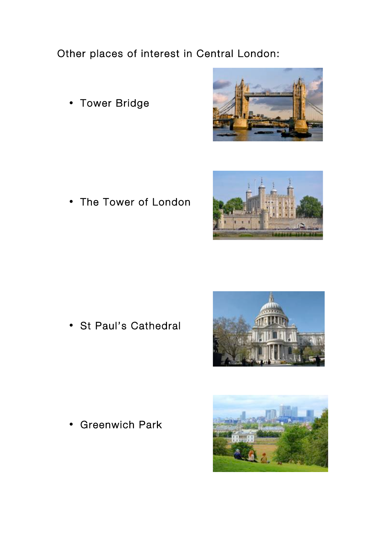Other places of interest in Central London:

• Tower Bridge

• The Tower of London

- St Paul's Cathedral
	-

• Greenwich Park